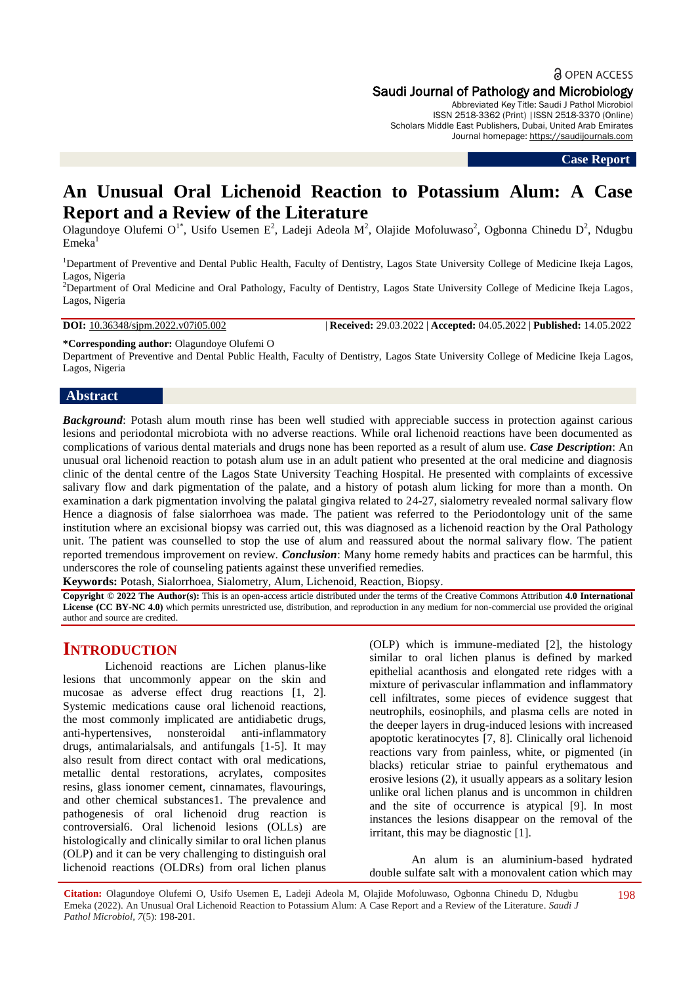a OPEN ACCESS Saudi Journal of Pathology and Microbiology

Abbreviated Key Title: Saudi J Pathol Microbiol ISSN 2518-3362 (Print) |ISSN 2518-3370 (Online) Scholars Middle East Publishers, Dubai, United Arab Emirates

Journal homepage: [https://saudijournals.com](https://saudijournals.com/sjpm)

**Case Report**

# **An Unusual Oral Lichenoid Reaction to Potassium Alum: A Case Report and a Review of the Literature**

Olagundoye Olufemi O<sup>1\*</sup>, Usifo Usemen E<sup>2</sup>, Ladeji Adeola M<sup>2</sup>, Olajide Mofoluwaso<sup>2</sup>, Ogbonna Chinedu D<sup>2</sup>, Ndugbu  $Emeka<sup>1</sup>$ 

<sup>1</sup>Department of Preventive and Dental Public Health, Faculty of Dentistry, Lagos State University College of Medicine Ikeja Lagos, Lagos, Nigeria

<sup>2</sup>Department of Oral Medicine and Oral Pathology, Faculty of Dentistry, Lagos State University College of Medicine Ikeja Lagos, Lagos, Nigeria

**DOI:** 10.36348/sjpm.2022.v07i05.002 | **Received:** 29.03.2022 | **Accepted:** 04.05.2022 | **Published:** 14.05.2022

**\*Corresponding author:** Olagundoye Olufemi O

Department of Preventive and Dental Public Health, Faculty of Dentistry, Lagos State University College of Medicine Ikeja Lagos, Lagos, Nigeria

#### **Abstract**

*Background*: Potash alum mouth rinse has been well studied with appreciable success in protection against carious lesions and periodontal microbiota with no adverse reactions. While oral lichenoid reactions have been documented as complications of various dental materials and drugs none has been reported as a result of alum use. *Case Description*: An unusual oral lichenoid reaction to potash alum use in an adult patient who presented at the oral medicine and diagnosis clinic of the dental centre of the Lagos State University Teaching Hospital. He presented with complaints of excessive salivary flow and dark pigmentation of the palate, and a history of potash alum licking for more than a month. On examination a dark pigmentation involving the palatal gingiva related to 24-27, sialometry revealed normal salivary flow Hence a diagnosis of false sialorrhoea was made. The patient was referred to the Periodontology unit of the same institution where an excisional biopsy was carried out, this was diagnosed as a lichenoid reaction by the Oral Pathology unit. The patient was counselled to stop the use of alum and reassured about the normal salivary flow. The patient reported tremendous improvement on review. *Conclusion*: Many home remedy habits and practices can be harmful, this underscores the role of counseling patients against these unverified remedies.

**Keywords:** Potash, Sialorrhoea, Sialometry, Alum, Lichenoid, Reaction, Biopsy.

**Copyright © 2022 The Author(s):** This is an open-access article distributed under the terms of the Creative Commons Attribution **4.0 International License (CC BY-NC 4.0)** which permits unrestricted use, distribution, and reproduction in any medium for non-commercial use provided the original author and source are credited.

## **INTRODUCTION**

Lichenoid reactions are Lichen planus-like lesions that uncommonly appear on the skin and mucosae as adverse effect drug reactions [1, 2]. Systemic medications cause oral lichenoid reactions, the most commonly implicated are antidiabetic drugs, anti-hypertensives, nonsteroidal anti-inflammatory drugs, antimalarialsals, and antifungals [1-5]. It may also result from direct contact with oral medications, metallic dental restorations, acrylates, composites resins, glass ionomer cement, cinnamates, flavourings, and other chemical substances1. The prevalence and pathogenesis of oral lichenoid drug reaction is controversial6. Oral lichenoid lesions (OLLs) are histologically and clinically similar to oral lichen planus (OLP) and it can be very challenging to distinguish oral lichenoid reactions (OLDRs) from oral lichen planus

(OLP) which is immune-mediated [2], the histology similar to oral lichen planus is defined by marked epithelial acanthosis and elongated rete ridges with a mixture of perivascular inflammation and inflammatory cell infiltrates, some pieces of evidence suggest that neutrophils, eosinophils, and plasma cells are noted in the deeper layers in drug-induced lesions with increased apoptotic keratinocytes [7, 8]. Clinically oral lichenoid reactions vary from painless, white, or pigmented (in blacks) reticular striae to painful erythematous and erosive lesions (2), it usually appears as a solitary lesion unlike oral lichen planus and is uncommon in children and the site of occurrence is atypical [9]. In most instances the lesions disappear on the removal of the irritant, this may be diagnostic [1].

An alum is an aluminium-based hydrated double sulfate salt with a monovalent cation which may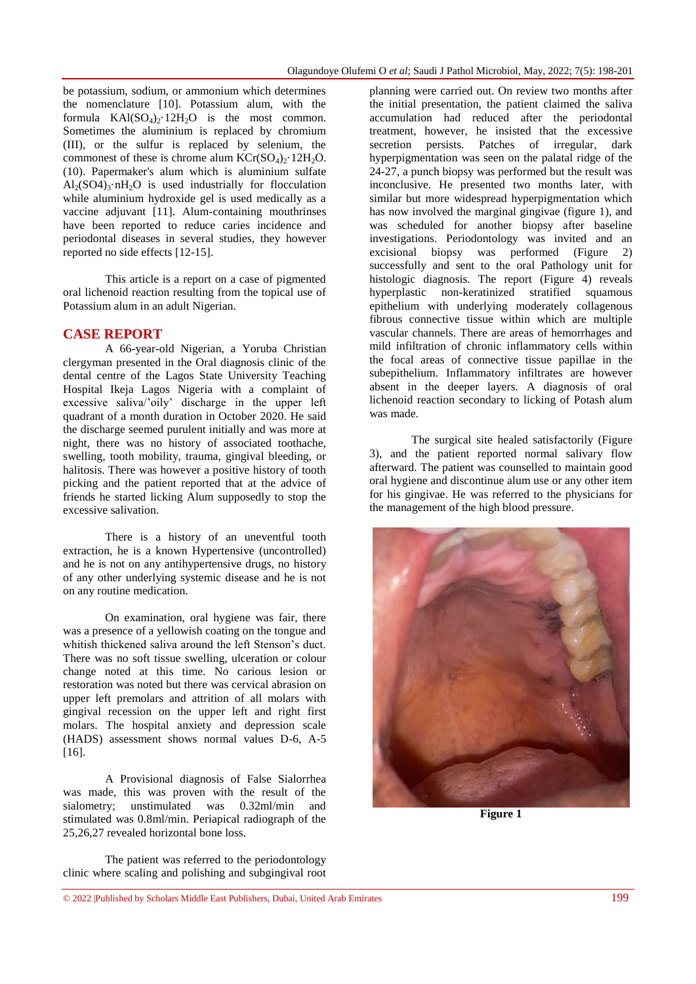be potassium, sodium, or ammonium which determines the nomenclature [10]. Potassium alum, with the formula  $KAI(SO<sub>4</sub>)<sub>2</sub>·12H<sub>2</sub>O$  is the most common. Sometimes the aluminium is replaced by chromium (III), or the sulfur is replaced by selenium, the commonest of these is chrome alum  $KCr(SO<sub>4</sub>)<sub>2</sub>·12H<sub>2</sub>O$ . (10). Papermaker's alum which is aluminium sulfate  $Al_2(SO4)_3 \cdot nH_2O$  is used industrially for flocculation while aluminium hydroxide gel is used medically as a vaccine adjuvant [11]. Alum-containing mouthrinses have been reported to reduce caries incidence and periodontal diseases in several studies, they however reported no side effects [12-15].

This article is a report on a case of pigmented oral lichenoid reaction resulting from the topical use of Potassium alum in an adult Nigerian.

#### **CASE REPORT**

A 66-year-old Nigerian, a Yoruba Christian clergyman presented in the Oral diagnosis clinic of the dental centre of the Lagos State University Teaching Hospital Ikeja Lagos Nigeria with a complaint of excessive saliva/'oily' discharge in the upper left quadrant of a month duration in October 2020. He said the discharge seemed purulent initially and was more at night, there was no history of associated toothache, swelling, tooth mobility, trauma, gingival bleeding, or halitosis. There was however a positive history of tooth picking and the patient reported that at the advice of friends he started licking Alum supposedly to stop the excessive salivation.

There is a history of an uneventful tooth extraction, he is a known Hypertensive (uncontrolled) and he is not on any antihypertensive drugs, no history of any other underlying systemic disease and he is not on any routine medication.

On examination, oral hygiene was fair, there was a presence of a yellowish coating on the tongue and whitish thickened saliva around the left Stenson's duct. There was no soft tissue swelling, ulceration or colour change noted at this time. No carious lesion or restoration was noted but there was cervical abrasion on upper left premolars and attrition of all molars with gingival recession on the upper left and right first molars. The hospital anxiety and depression scale (HADS) assessment shows normal values D-6, A-5 [16].

A Provisional diagnosis of False Sialorrhea was made, this was proven with the result of the sialometry; unstimulated was 0.32ml/min and stimulated was 0.8ml/min. Periapical radiograph of the 25,26,27 revealed horizontal bone loss.

The patient was referred to the periodontology clinic where scaling and polishing and subgingival root

planning were carried out. On review two months after the initial presentation, the patient claimed the saliva accumulation had reduced after the periodontal treatment, however, he insisted that the excessive secretion persists. Patches of irregular, dark hyperpigmentation was seen on the palatal ridge of the 24-27, a punch biopsy was performed but the result was inconclusive. He presented two months later, with similar but more widespread hyperpigmentation which has now involved the marginal gingivae (figure 1), and was scheduled for another biopsy after baseline investigations. Periodontology was invited and an excisional biopsy was performed (Figure 2) successfully and sent to the oral Pathology unit for histologic diagnosis. The report (Figure 4) reveals hyperplastic non-keratinized stratified squamous epithelium with underlying moderately collagenous fibrous connective tissue within which are multiple vascular channels. There are areas of hemorrhages and mild infiltration of chronic inflammatory cells within the focal areas of connective tissue papillae in the subepithelium. Inflammatory infiltrates are however absent in the deeper layers. A diagnosis of oral lichenoid reaction secondary to licking of Potash alum was made.

The surgical site healed satisfactorily (Figure 3), and the patient reported normal salivary flow afterward. The patient was counselled to maintain good oral hygiene and discontinue alum use or any other item for his gingivae. He was referred to the physicians for the management of the high blood pressure.



**Figure 1**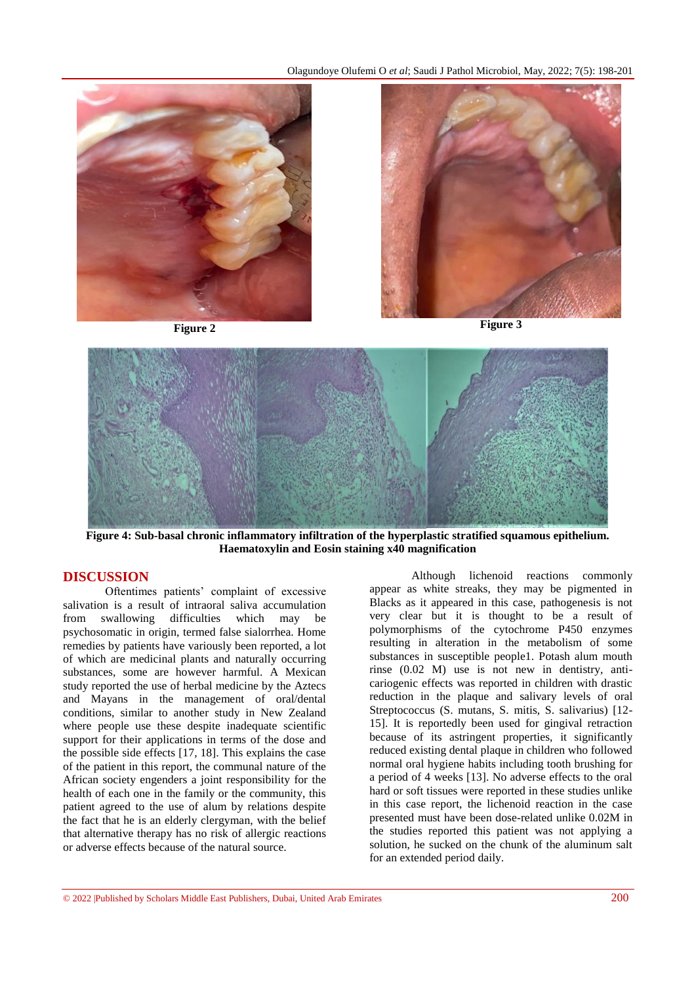Olagundoye Olufemi O *et al*; Saudi J Pathol Microbiol, May, 2022; 7(5): 198-201





**Figure 4: Sub-basal chronic inflammatory infiltration of the hyperplastic stratified squamous epithelium. Haematoxylin and Eosin staining x40 magnification**

### **DISCUSSION**

Oftentimes patients' complaint of excessive salivation is a result of intraoral saliva accumulation from swallowing difficulties which may be psychosomatic in origin, termed false sialorrhea. Home remedies by patients have variously been reported, a lot of which are medicinal plants and naturally occurring substances, some are however harmful. A Mexican study reported the use of herbal medicine by the Aztecs and Mayans in the management of oral/dental conditions, similar to another study in New Zealand where people use these despite inadequate scientific support for their applications in terms of the dose and the possible side effects [17, 18]. This explains the case of the patient in this report, the communal nature of the African society engenders a joint responsibility for the health of each one in the family or the community, this patient agreed to the use of alum by relations despite the fact that he is an elderly clergyman, with the belief that alternative therapy has no risk of allergic reactions or adverse effects because of the natural source.

Although lichenoid reactions commonly appear as white streaks, they may be pigmented in Blacks as it appeared in this case, pathogenesis is not very clear but it is thought to be a result of polymorphisms of the cytochrome P450 enzymes resulting in alteration in the metabolism of some substances in susceptible people1. Potash alum mouth rinse (0.02 M) use is not new in dentistry, anticariogenic effects was reported in children with drastic reduction in the plaque and salivary levels of oral Streptococcus (S. mutans, S. mitis, S. salivarius) [12- 15]. It is reportedly been used for gingival retraction because of its astringent properties, it significantly reduced existing dental plaque in children who followed normal oral hygiene habits including tooth brushing for a period of 4 weeks [13]. No adverse effects to the oral hard or soft tissues were reported in these studies unlike in this case report, the lichenoid reaction in the case presented must have been dose-related unlike 0.02M in the studies reported this patient was not applying a solution, he sucked on the chunk of the aluminum salt for an extended period daily.